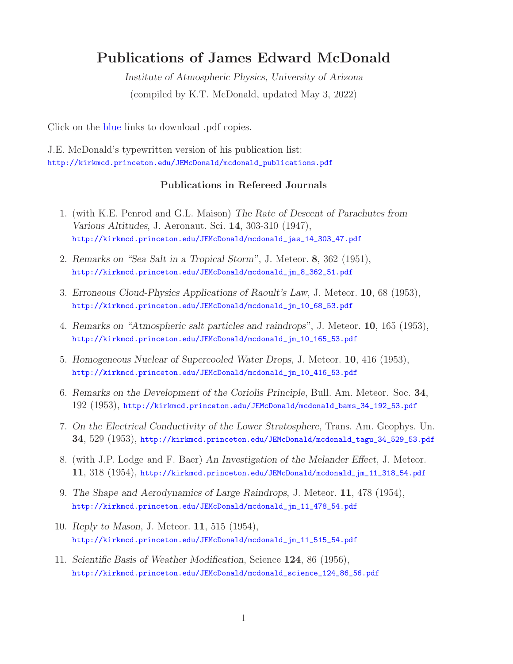# **Publications of James Edward McDonald**

*Institute of Atmospheric Physics, University of Arizona* (compiled by K.T. McDonald, updated May 3, 2022)

Click on the blue links to download .pdf copies.

J.E. McDonald's typewritten version of his publication list: http://kirkmcd.princeton.edu/JEMcDonald/mcdonald\_publications.pdf

## **Publications in Refereed Journals**

- 1. (with K.E. Penrod and G.L. Maison) *The Rate of Descent of Parachutes from Various Altitudes*, J. Aeronaut. Sci. **14**, 303-310 (1947), http://kirkmcd.princeton.edu/JEMcDonald/mcdonald\_jas\_14\_303\_47.pdf
- 2. *Remarks on "Sea Salt in a Tropical Storm"*, J. Meteor. **8**, 362 (1951), http://kirkmcd.princeton.edu/JEMcDonald/mcdonald\_jm\_8\_362\_51.pdf
- 3. *Erroneous Cloud-Physics Applications of Raoult's Law*, J. Meteor. **10**, 68 (1953), http://kirkmcd.princeton.edu/JEMcDonald/mcdonald\_jm\_10\_68\_53.pdf
- 4. *Remarks on "Atmospheric salt particles and raindrops"*, J. Meteor. **10**, 165 (1953), http://kirkmcd.princeton.edu/JEMcDonald/mcdonald\_jm\_10\_165\_53.pdf
- 5. *Homogeneous Nuclear of Supercooled Water Drops*, J. Meteor. **10**, 416 (1953), http://kirkmcd.princeton.edu/JEMcDonald/mcdonald\_jm\_10\_416\_53.pdf
- 6. *Remarks on the Development of the Coriolis Principle*, Bull. Am. Meteor. Soc. **34**, 192 (1953), http://kirkmcd.princeton.edu/JEMcDonald/mcdonald\_bams\_34\_192\_53.pdf
- 7. *On the Electrical Conductivity of the Lower Stratosphere*, Trans. Am. Geophys. Un. **34**, 529 (1953), http://kirkmcd.princeton.edu/JEMcDonald/mcdonald\_tagu\_34\_529\_53.pdf
- 8. (with J.P. Lodge and F. Baer) *An Investigation of the Melander Effect*, J. Meteor. **11**, 318 (1954), http://kirkmcd.princeton.edu/JEMcDonald/mcdonald\_jm\_11\_318\_54.pdf
- 9. *The Shape and Aerodynamics of Large Raindrops*, J. Meteor. **11**, 478 (1954), http://kirkmcd.princeton.edu/JEMcDonald/mcdonald\_jm\_11\_478\_54.pdf
- 10. *Reply to Mason*, J. Meteor. **11**, 515 (1954), http://kirkmcd.princeton.edu/JEMcDonald/mcdonald\_jm\_11\_515\_54.pdf
- 11. *Scientific Basis of Weather Modification*, Science **124**, 86 (1956), http://kirkmcd.princeton.edu/JEMcDonald/mcdonald\_science\_124\_86\_56.pdf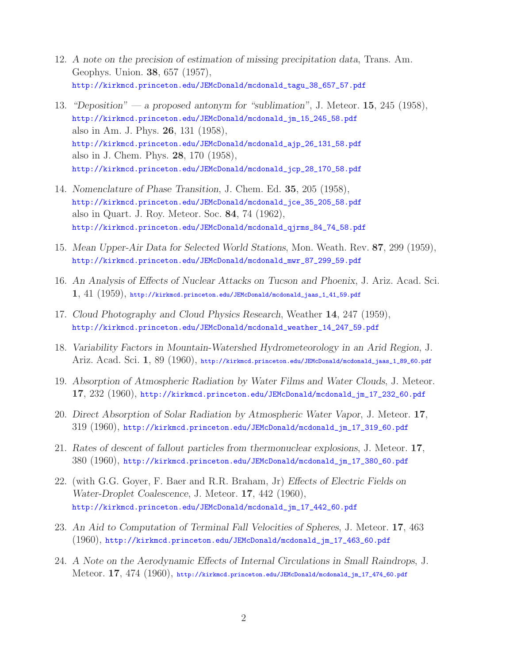- 12. *A note on the precision of estimation of missing precipitation data*, Trans. Am. Geophys. Union. **38**, 657 (1957), http://kirkmcd.princeton.edu/JEMcDonald/mcdonald\_tagu\_38\_657\_57.pdf
- 13. *"Deposition" a proposed antonym for "sublimation"*, J. Meteor. **15**, 245 (1958), http://kirkmcd.princeton.edu/JEMcDonald/mcdonald\_jm\_15\_245\_58.pdf also in Am. J. Phys. **26**, 131 (1958), http://kirkmcd.princeton.edu/JEMcDonald/mcdonald\_ajp\_26\_131\_58.pdf also in J. Chem. Phys. **28**, 170 (1958), http://kirkmcd.princeton.edu/JEMcDonald/mcdonald\_jcp\_28\_170\_58.pdf
- 14. *Nomenclature of Phase Transition*, J. Chem. Ed. **35**, 205 (1958), http://kirkmcd.princeton.edu/JEMcDonald/mcdonald\_jce\_35\_205\_58.pdf also in Quart. J. Roy. Meteor. Soc. **84**, 74 (1962), http://kirkmcd.princeton.edu/JEMcDonald/mcdonald\_qjrms\_84\_74\_58.pdf
- 15. *Mean Upper-Air Data for Selected World Stations*, Mon. Weath. Rev. **87**, 299 (1959), http://kirkmcd.princeton.edu/JEMcDonald/mcdonald\_mwr\_87\_299\_59.pdf
- 16. *An Analysis of Effects of Nuclear Attacks on Tucson and Phoenix*, J. Ariz. Acad. Sci. **1**, 41 (1959), http://kirkmcd.princeton.edu/JEMcDonald/mcdonald\_jaas\_1\_41\_59.pdf
- 17. *Cloud Photography and Cloud Physics Research*, Weather **14**, 247 (1959), http://kirkmcd.princeton.edu/JEMcDonald/mcdonald\_weather\_14\_247\_59.pdf
- 18. *Variability Factors in Mountain-Watershed Hydrometeorology in an Arid Region*, J. Ariz. Acad. Sci. **1**, 89 (1960), http://kirkmcd.princeton.edu/JEMcDonald/mcdonald\_jaas\_1\_89\_60.pdf
- 19. *Absorption of Atmospheric Radiation by Water Films and Water Clouds*, J. Meteor. **17**, 232 (1960), http://kirkmcd.princeton.edu/JEMcDonald/mcdonald\_jm\_17\_232\_60.pdf
- 20. *Direct Absorption of Solar Radiation by Atmospheric Water Vapor*, J. Meteor. **17**, 319 (1960), http://kirkmcd.princeton.edu/JEMcDonald/mcdonald\_jm\_17\_319\_60.pdf
- 21. *Rates of descent of fallout particles from thermonuclear explosions*, J. Meteor. **17**, 380 (1960), http://kirkmcd.princeton.edu/JEMcDonald/mcdonald\_jm\_17\_380\_60.pdf
- 22. (with G.G. Goyer, F. Baer and R.R. Braham, Jr) *Effects of Electric Fields on Water-Droplet Coalescence*, J. Meteor. **17**, 442 (1960), http://kirkmcd.princeton.edu/JEMcDonald/mcdonald\_jm\_17\_442\_60.pdf
- 23. *An Aid to Computation of Terminal Fall Velocities of Spheres*, J. Meteor. **17**, 463 (1960), http://kirkmcd.princeton.edu/JEMcDonald/mcdonald\_jm\_17\_463\_60.pdf
- 24. *A Note on the Aerodynamic Effects of Internal Circulations in Small Raindrops*, J. Meteor. **17**, 474 (1960), http://kirkmcd.princeton.edu/JEMcDonald/mcdonald\_jm\_17\_474\_60.pdf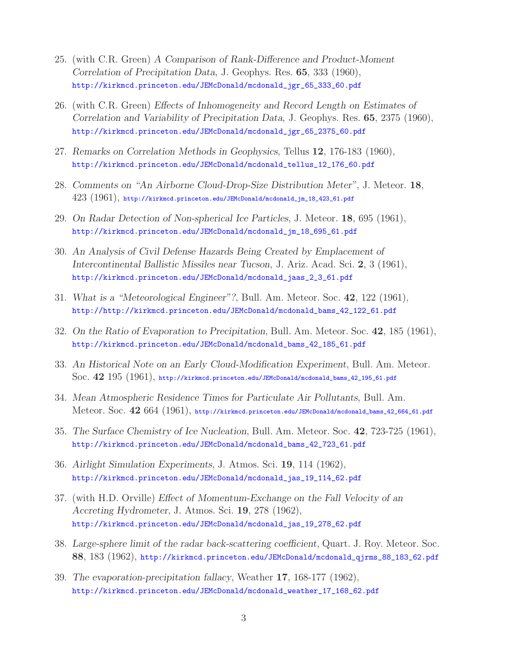- 25. (with C.R. Green) *A Comparison of Rank-Difference and Product-Moment Correlation of Precipitation Data*, J. Geophys. Res. **65**, 333 (1960), http://kirkmcd.princeton.edu/JEMcDonald/mcdonald\_jgr\_65\_333\_60.pdf
- 26. (with C.R. Green) *Effects of Inhomogeneity and Record Length on Estimates of Correlation and Variability of Precipitation Data*, J. Geophys. Res. **65**, 2375 (1960), http://kirkmcd.princeton.edu/JEMcDonald/mcdonald\_jgr\_65\_2375\_60.pdf
- 27. *Remarks on Correlation Methods in Geophysics*, Tellus **12**, 176-183 (1960), http://kirkmcd.princeton.edu/JEMcDonald/mcdonald\_tellus\_12\_176\_60.pdf
- 28. *Comments on "An Airborne Cloud-Drop-Size Distribution Meter"*, J. Meteor. **18**,  $423$   $(1961)$ , http://kirkmcd.princeton.edu/JEMcDonald/mcdonald\_jm\_18\_423\_61.pdf
- 29. *On Radar Detection of Non-spherical Ice Particles*, J. Meteor. **18**, 695 (1961), http://kirkmcd.princeton.edu/JEMcDonald/mcdonald\_jm\_18\_695\_61.pdf
- 30. *An Analysis of Civil Defense Hazards Being Created by Emplacement of Intercontinental Ballistic Missiles near Tucson*, J. Ariz. Acad. Sci. **2**, 3 (1961), http://kirkmcd.princeton.edu/JEMcDonald/mcdonald\_jaas\_2\_3\_61.pdf
- 31. *What is a "Meteorological Engineer"?*, Bull. Am. Meteor. Soc. **42**, 122 (1961), http://http://kirkmcd.princeton.edu/JEMcDonald/mcdonald\_bams\_42\_122\_61.pdf
- 32. *On the Ratio of Evaporation to Precipitation*, Bull. Am. Meteor. Soc. **42**, 185 (1961), http://kirkmcd.princeton.edu/JEMcDonald/mcdonald\_bams\_42\_185\_61.pdf
- 33. *An Historical Note on an Early Cloud-Modification Experiment*, Bull. Am. Meteor. Soc. **42** 195 (1961), http://kirkmcd.princeton.edu/JEMcDonald/mcdonald\_bams\_42\_195\_61.pdf
- 34. *Mean Atmospheric Residence Times for Particulate Air Pollutants*, Bull. Am. Meteor. Soc. **42** 664 (1961), http://kirkmcd.princeton.edu/JEMcDonald/mcdonald\_bams\_42\_664\_61.pdf
- 35. *The Surface Chemistry of Ice Nucleation*, Bull. Am. Meteor. Soc. **42**, 723-725 (1961), http://kirkmcd.princeton.edu/JEMcDonald/mcdonald\_bams\_42\_723\_61.pdf
- 36. *Airlight Simulation Experiments*, J. Atmos. Sci. **19**, 114 (1962), http://kirkmcd.princeton.edu/JEMcDonald/mcdonald\_jas\_19\_114\_62.pdf
- 37. (with H.D. Orville) *Effect of Momentum-Exchange on the Fall Velocity of an Accreting Hydrometer*, J. Atmos. Sci. **19**, 278 (1962), http://kirkmcd.princeton.edu/JEMcDonald/mcdonald\_jas\_19\_278\_62.pdf
- 38. *Large-sphere limit of the radar back-scattering coefficient*, Quart. J. Roy. Meteor. Soc. **88**, 183 (1962), http://kirkmcd.princeton.edu/JEMcDonald/mcdonald\_qjrms\_88\_183\_62.pdf
- 39. *The evaporation-precipitation fallacy*, Weather **17**, 168-177 (1962), http://kirkmcd.princeton.edu/JEMcDonald/mcdonald\_weather\_17\_168\_62.pdf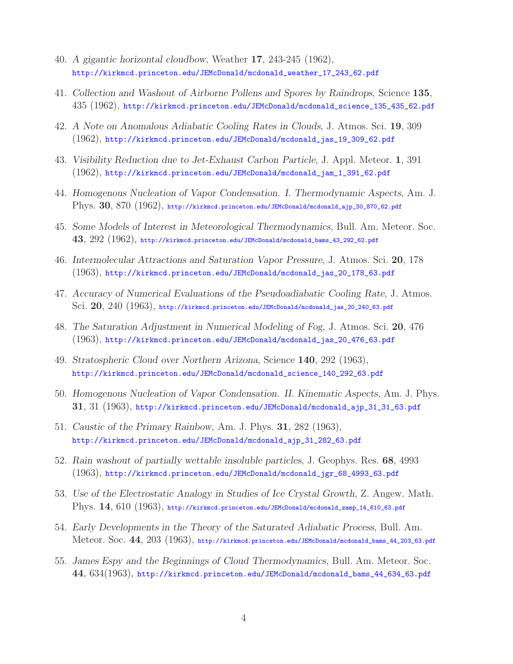- 40. *A gigantic horizontal cloudbow*, Weather **17**, 243-245 (1962), http://kirkmcd.princeton.edu/JEMcDonald/mcdonald\_weather\_17\_243\_62.pdf
- 41. *Collection and Washout of Airborne Pollens and Spores by Raindrops*, Science **135**, 435 (1962), http://kirkmcd.princeton.edu/JEMcDonald/mcdonald\_science\_135\_435\_62.pdf
- 42. *A Note on Anomalous Adiabatic Cooling Rates in Clouds*, J. Atmos. Sci. **19**, 309 (1962), http://kirkmcd.princeton.edu/JEMcDonald/mcdonald\_jas\_19\_309\_62.pdf
- 43. *Visibility Reduction due to Jet-Exhaust Carbon Particle*, J. Appl. Meteor. **1**, 391 (1962), http://kirkmcd.princeton.edu/JEMcDonald/mcdonald\_jam\_1\_391\_62.pdf
- 44. *Homogenous Nucleation of Vapor Condensation. I. Thermodynamic Aspects*, Am. J. Phys. **30**, 870 (1962), http://kirkmcd.princeton.edu/JEMcDonald/mcdonald\_ajp\_30\_870\_62.pdf
- 45. *Some Models of Interest in Meteorological Thermodynamics*, Bull. Am. Meteor. Soc. **43**, 292 (1962), http://kirkmcd.princeton.edu/JEMcDonald/mcdonald\_bams\_43\_292\_62.pdf
- 46. *Intermolecular Attractions and Saturation Vapor Pressure*, J. Atmos. Sci. **20**, 178 (1963), http://kirkmcd.princeton.edu/JEMcDonald/mcdonald\_jas\_20\_178\_63.pdf
- 47. *Accuracy of Numerical Evaluations of the Pseudoadiabatic Cooling Rate*, J. Atmos. Sci. **20**, 240 (1963), http://kirkmcd.princeton.edu/JEMcDonald/mcdonald\_jas\_20\_240\_63.pdf
- 48. *The Saturation Adjustment in Numerical Modeling of Fog*, J. Atmos. Sci. **20**, 476 (1963), http://kirkmcd.princeton.edu/JEMcDonald/mcdonald\_jas\_20\_476\_63.pdf
- 49. *Stratospheric Cloud over Northern Arizona*, Science **140**, 292 (1963), http://kirkmcd.princeton.edu/JEMcDonald/mcdonald\_science\_140\_292\_63.pdf
- 50. *Homogenous Nucleation of Vapor Condensation. II. Kinematic Aspects*, Am. J. Phys. **31**, 31 (1963), http://kirkmcd.princeton.edu/JEMcDonald/mcdonald\_ajp\_31\_31\_63.pdf
- 51. *Caustic of the Primary Rainbow*, Am. J. Phys. **31**, 282 (1963), http://kirkmcd.princeton.edu/JEMcDonald/mcdonald\_ajp\_31\_282\_63.pdf
- 52. *Rain washout of partially wettable insoluble particles*, J. Geophys. Res. **68**, 4993 (1963), http://kirkmcd.princeton.edu/JEMcDonald/mcdonald\_jgr\_68\_4993\_63.pdf
- 53. *Use of the Electrostatic Analogy in Studies of Ice Crystal Growth*, Z. Angew. Math. Phys. **14**, 610 (1963), http://kirkmcd.princeton.edu/JEMcDonald/mcdonald\_zamp\_14\_610\_63.pdf
- 54. *Early Developments in the Theory of the Saturated Adiabatic Process*, Bull. Am. Meteor. Soc. **44**, 203 (1963), http://kirkmcd.princeton.edu/JEMcDonald/mcdonald\_bams\_44\_203\_63.pdf
- 55. *James Espy and the Beginnings of Cloud Thermodynamics*, Bull. Am. Meteor. Soc. **44**, 634(1963), http://kirkmcd.princeton.edu/JEMcDonald/mcdonald\_bams\_44\_634\_63.pdf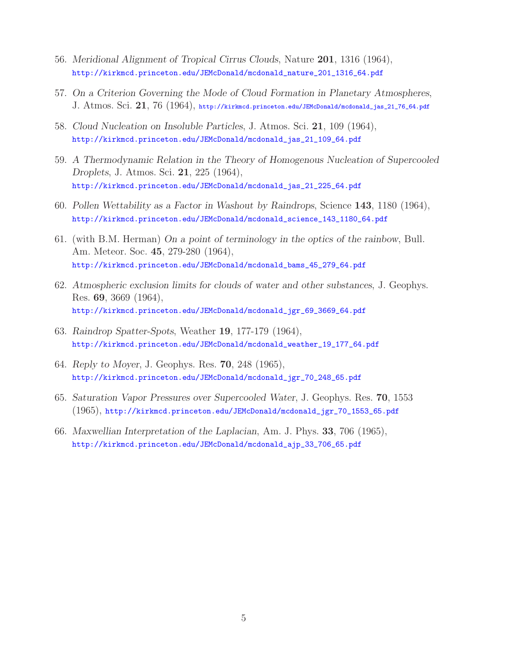- 56. *Meridional Alignment of Tropical Cirrus Clouds*, Nature **201**, 1316 (1964), http://kirkmcd.princeton.edu/JEMcDonald/mcdonald\_nature\_201\_1316\_64.pdf
- 57. *On a Criterion Governing the Mode of Cloud Formation in Planetary Atmospheres*, J. Atmos. Sci. **21**, 76 (1964), http://kirkmcd.princeton.edu/JEMcDonald/mcdonald\_jas\_21\_76\_64.pdf
- 58. *Cloud Nucleation on Insoluble Particles*, J. Atmos. Sci. **21**, 109 (1964), http://kirkmcd.princeton.edu/JEMcDonald/mcdonald\_jas\_21\_109\_64.pdf
- 59. *A Thermodynamic Relation in the Theory of Homogenous Nucleation of Supercooled Droplets*, J. Atmos. Sci. **21**, 225 (1964), http://kirkmcd.princeton.edu/JEMcDonald/mcdonald\_jas\_21\_225\_64.pdf
- 60. *Pollen Wettability as a Factor in Washout by Raindrops*, Science **143**, 1180 (1964), http://kirkmcd.princeton.edu/JEMcDonald/mcdonald\_science\_143\_1180\_64.pdf
- 61. (with B.M. Herman) *On a point of terminology in the optics of the rainbow*, Bull. Am. Meteor. Soc. **45**, 279-280 (1964), http://kirkmcd.princeton.edu/JEMcDonald/mcdonald\_bams\_45\_279\_64.pdf
- 62. *Atmospheric exclusion limits for clouds of water and other substances*, J. Geophys. Res. **69**, 3669 (1964), http://kirkmcd.princeton.edu/JEMcDonald/mcdonald\_jgr\_69\_3669\_64.pdf
- 63. *Raindrop Spatter-Spots*, Weather **19**, 177-179 (1964), http://kirkmcd.princeton.edu/JEMcDonald/mcdonald\_weather\_19\_177\_64.pdf
- 64. *Reply to Moyer*, J. Geophys. Res. **70**, 248 (1965), http://kirkmcd.princeton.edu/JEMcDonald/mcdonald\_jgr\_70\_248\_65.pdf
- 65. *Saturation Vapor Pressures over Supercooled Water*, J. Geophys. Res. **70**, 1553 (1965), http://kirkmcd.princeton.edu/JEMcDonald/mcdonald\_jgr\_70\_1553\_65.pdf
- 66. *Maxwellian Interpretation of the Laplacian*, Am. J. Phys. **33**, 706 (1965), http://kirkmcd.princeton.edu/JEMcDonald/mcdonald\_ajp\_33\_706\_65.pdf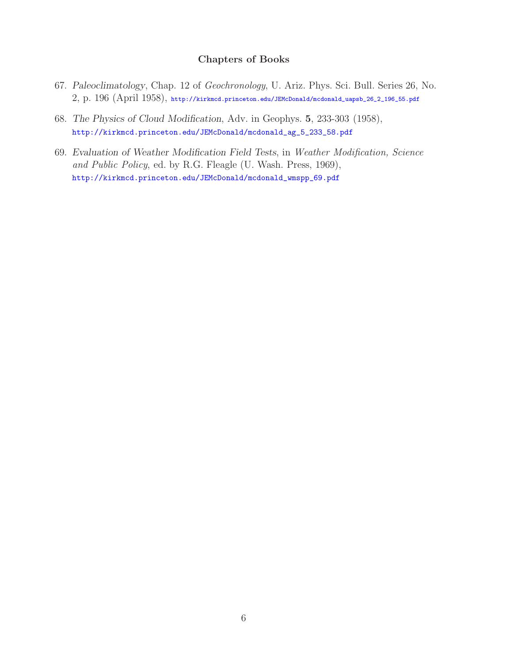### **Chapters of Books**

- 67. *Paleoclimatology*, Chap. 12 of *Geochronology*, U. Ariz. Phys. Sci. Bull. Series 26, No. 2, p. 196 (April 1958), http://kirkmcd.princeton.edu/JEMcDonald/mcdonald\_uapsb\_26\_2\_196\_55.pdf
- 68. *The Physics of Cloud Modification*, Adv. in Geophys. **5**, 233-303 (1958), http://kirkmcd.princeton.edu/JEMcDonald/mcdonald\_ag\_5\_233\_58.pdf
- 69. *Evaluation of Weather Modification Field Tests*, in *Weather Modification, Science and Public Policy*, ed. by R.G. Fleagle (U. Wash. Press, 1969), http://kirkmcd.princeton.edu/JEMcDonald/mcdonald\_wmspp\_69.pdf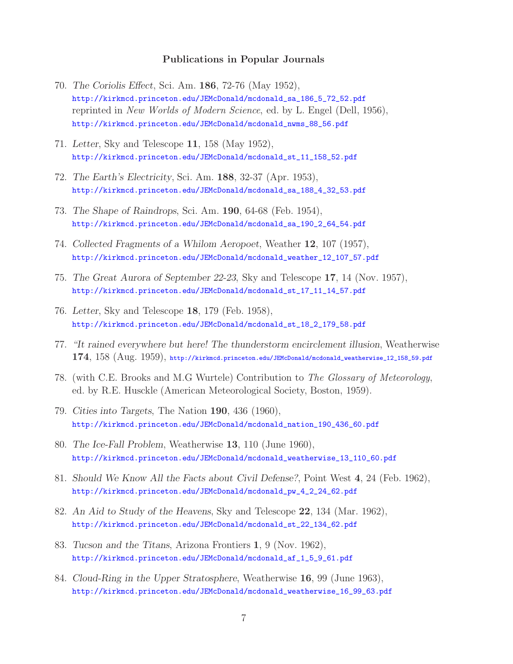#### **Publications in Popular Journals**

- 70. *The Coriolis Effect*, Sci. Am. **186**, 72-76 (May 1952), http://kirkmcd.princeton.edu/JEMcDonald/mcdonald\_sa\_186\_5\_72\_52.pdf reprinted in *New Worlds of Modern Science*, ed. by L. Engel (Dell, 1956), http://kirkmcd.princeton.edu/JEMcDonald/mcdonald\_nwms\_88\_56.pdf
- 71. *Letter*, Sky and Telescope **11**, 158 (May 1952), http://kirkmcd.princeton.edu/JEMcDonald/mcdonald\_st\_11\_158\_52.pdf
- 72. *The Earth's Electricity*, Sci. Am. **188**, 32-37 (Apr. 1953), http://kirkmcd.princeton.edu/JEMcDonald/mcdonald\_sa\_188\_4\_32\_53.pdf
- 73. *The Shape of Raindrops*, Sci. Am. **190**, 64-68 (Feb. 1954), http://kirkmcd.princeton.edu/JEMcDonald/mcdonald\_sa\_190\_2\_64\_54.pdf
- 74. *Collected Fragments of a Whilom Aeropoet*, Weather **12**, 107 (1957), http://kirkmcd.princeton.edu/JEMcDonald/mcdonald\_weather\_12\_107\_57.pdf
- 75. *The Great Aurora of September 22-23*, Sky and Telescope **17**, 14 (Nov. 1957), http://kirkmcd.princeton.edu/JEMcDonald/mcdonald\_st\_17\_11\_14\_57.pdf
- 76. *Letter*, Sky and Telescope **18**, 179 (Feb. 1958), http://kirkmcd.princeton.edu/JEMcDonald/mcdonald\_st\_18\_2\_179\_58.pdf
- 77. *"It rained everywhere but here! The thunderstorm encirclement illusion*, Weatherwise **174**, 158 (Aug. 1959), http://kirkmcd.princeton.edu/JEMcDonald/mcdonald\_weatherwise\_12\_158\_59.pdf
- 78. (with C.E. Brooks and M.G Wurtele) Contribution to *The Glossary of Meteorology*, ed. by R.E. Husckle (American Meteorological Society, Boston, 1959).
- 79. *Cities into Targets*, The Nation **190**, 436 (1960), http://kirkmcd.princeton.edu/JEMcDonald/mcdonald\_nation\_190\_436\_60.pdf
- 80. *The Ice-Fall Problem*, Weatherwise **13**, 110 (June 1960), http://kirkmcd.princeton.edu/JEMcDonald/mcdonald\_weatherwise\_13\_110\_60.pdf
- 81. *Should We Know All the Facts about Civil Defense?*, Point West **4**, 24 (Feb. 1962), http://kirkmcd.princeton.edu/JEMcDonald/mcdonald\_pw\_4\_2\_24\_62.pdf
- 82. *An Aid to Study of the Heavens*, Sky and Telescope **22**, 134 (Mar. 1962), http://kirkmcd.princeton.edu/JEMcDonald/mcdonald\_st\_22\_134\_62.pdf
- 83. *Tucson and the Titans*, Arizona Frontiers **1**, 9 (Nov. 1962), http://kirkmcd.princeton.edu/JEMcDonald/mcdonald\_af\_1\_5\_9\_61.pdf
- 84. *Cloud-Ring in the Upper Stratosphere*, Weatherwise **16**, 99 (June 1963), http://kirkmcd.princeton.edu/JEMcDonald/mcdonald\_weatherwise\_16\_99\_63.pdf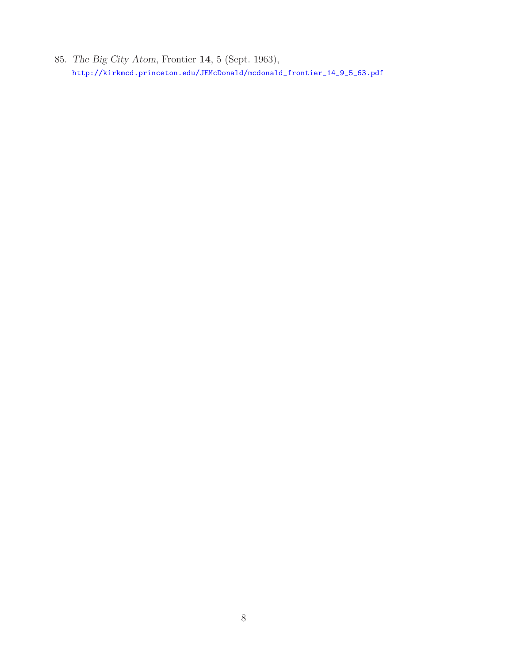85. *The Big City Atom*, Frontier **14**, 5 (Sept. 1963), http://kirkmcd.princeton.edu/JEMcDonald/mcdonald\_frontier\_14\_9\_5\_63.pdf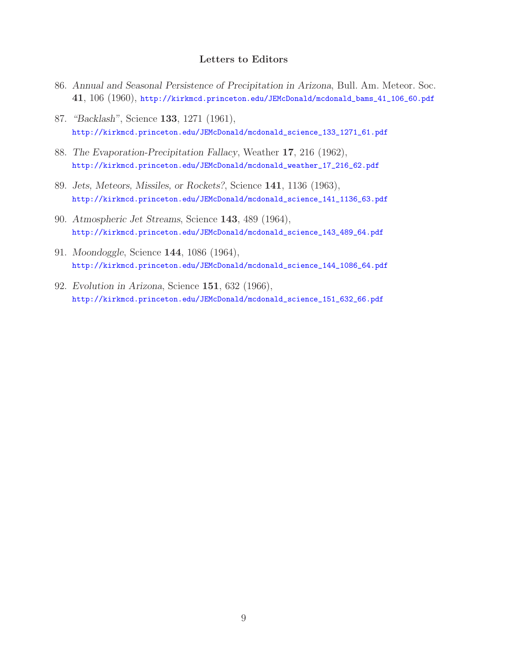### **Letters to Editors**

- 86. *Annual and Seasonal Persistence of Precipitation in Arizona*, Bull. Am. Meteor. Soc. **41**, 106 (1960), http://kirkmcd.princeton.edu/JEMcDonald/mcdonald\_bams\_41\_106\_60.pdf
- 87. *"Backlash"*, Science **133**, 1271 (1961), http://kirkmcd.princeton.edu/JEMcDonald/mcdonald\_science\_133\_1271\_61.pdf
- 88. *The Evaporation-Precipitation Fallacy*, Weather **17**, 216 (1962), http://kirkmcd.princeton.edu/JEMcDonald/mcdonald\_weather\_17\_216\_62.pdf
- 89. *Jets, Meteors, Missiles, or Rockets?*, Science **141**, 1136 (1963), http://kirkmcd.princeton.edu/JEMcDonald/mcdonald\_science\_141\_1136\_63.pdf
- 90. *Atmospheric Jet Streams*, Science **143**, 489 (1964), http://kirkmcd.princeton.edu/JEMcDonald/mcdonald\_science\_143\_489\_64.pdf
- 91. *Moondoggle*, Science **144**, 1086 (1964), http://kirkmcd.princeton.edu/JEMcDonald/mcdonald\_science\_144\_1086\_64.pdf
- 92. *Evolution in Arizona*, Science **151**, 632 (1966), http://kirkmcd.princeton.edu/JEMcDonald/mcdonald\_science\_151\_632\_66.pdf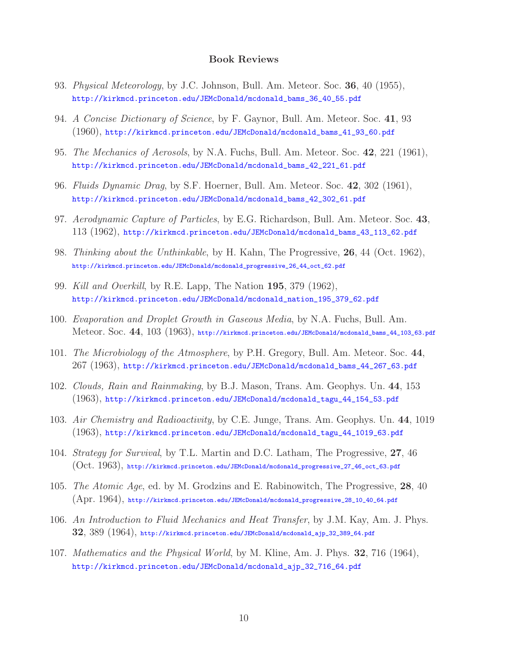#### **Book Reviews**

- 93. *Physical Meteorology*, by J.C. Johnson, Bull. Am. Meteor. Soc. **36**, 40 (1955), http://kirkmcd.princeton.edu/JEMcDonald/mcdonald\_bams\_36\_40\_55.pdf
- 94. *A Concise Dictionary of Science*, by F. Gaynor, Bull. Am. Meteor. Soc. **41**, 93 (1960), http://kirkmcd.princeton.edu/JEMcDonald/mcdonald\_bams\_41\_93\_60.pdf
- 95. *The Mechanics of Aerosols*, by N.A. Fuchs, Bull. Am. Meteor. Soc. **42**, 221 (1961), http://kirkmcd.princeton.edu/JEMcDonald/mcdonald\_bams\_42\_221\_61.pdf
- 96. *Fluids Dynamic Drag*, by S.F. Hoerner, Bull. Am. Meteor. Soc. **42**, 302 (1961), http://kirkmcd.princeton.edu/JEMcDonald/mcdonald\_bams\_42\_302\_61.pdf
- 97. *Aerodynamic Capture of Particles*, by E.G. Richardson, Bull. Am. Meteor. Soc. **43**, 113 (1962), http://kirkmcd.princeton.edu/JEMcDonald/mcdonald\_bams\_43\_113\_62.pdf
- 98. *Thinking about the Unthinkable*, by H. Kahn, The Progressive, **26**, 44 (Oct. 1962), http://kirkmcd.princeton.edu/JEMcDonald/mcdonald\_progressive\_26\_44\_oct\_62.pdf
- 99. *Kill and Overkill*, by R.E. Lapp, The Nation **195**, 379 (1962), http://kirkmcd.princeton.edu/JEMcDonald/mcdonald\_nation\_195\_379\_62.pdf
- 100. *Evaporation and Droplet Growth in Gaseous Media*, by N.A. Fuchs, Bull. Am. Meteor. Soc. **44**, 103 (1963), http://kirkmcd.princeton.edu/JEMcDonald/mcdonald\_bams\_44\_103\_63.pdf
- 101. *The Microbiology of the Atmosphere*, by P.H. Gregory, Bull. Am. Meteor. Soc. **44**, 267 (1963), http://kirkmcd.princeton.edu/JEMcDonald/mcdonald\_bams\_44\_267\_63.pdf
- 102. *Clouds, Rain and Rainmaking*, by B.J. Mason, Trans. Am. Geophys. Un. **44**, 153 (1963), http://kirkmcd.princeton.edu/JEMcDonald/mcdonald\_tagu\_44\_154\_53.pdf
- 103. *Air Chemistry and Radioactivity*, by C.E. Junge, Trans. Am. Geophys. Un. **44**, 1019 (1963), http://kirkmcd.princeton.edu/JEMcDonald/mcdonald\_tagu\_44\_1019\_63.pdf
- 104. *Strategy for Survival*, by T.L. Martin and D.C. Latham, The Progressive, **27**, 46 (Oct. 1963), http://kirkmcd.princeton.edu/JEMcDonald/mcdonald\_progressive\_27\_46\_oct\_63.pdf
- 105. *The Atomic Age*, ed. by M. Grodzins and E. Rabinowitch, The Progressive, **28**, 40 (Apr. 1964), http://kirkmcd.princeton.edu/JEMcDonald/mcdonald\_progressive\_28\_10\_40\_64.pdf
- 106. *An Introduction to Fluid Mechanics and Heat Transfer*, by J.M. Kay, Am. J. Phys. **32**, 389 (1964), http://kirkmcd.princeton.edu/JEMcDonald/mcdonald\_ajp\_32\_389\_64.pdf
- 107. *Mathematics and the Physical World*, by M. Kline, Am. J. Phys. **32**, 716 (1964), http://kirkmcd.princeton.edu/JEMcDonald/mcdonald\_ajp\_32\_716\_64.pdf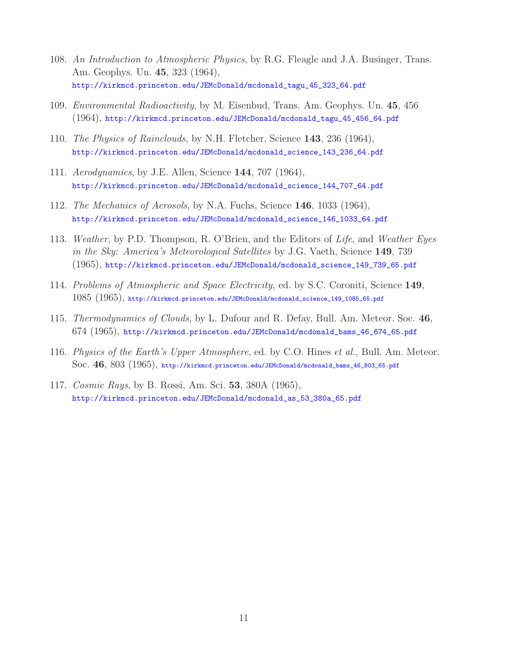- 108. *An Introduction to Atmospheric Physics*, by R.G. Fleagle and J.A. Businger, Trans. Am. Geophys. Un. **45**, 323 (1964), http://kirkmcd.princeton.edu/JEMcDonald/mcdonald\_tagu\_45\_323\_64.pdf
- 109. *Environmental Radioactivity*, by M. Eisenbud, Trans. Am. Geophys. Un. **45**, 456 (1964), http://kirkmcd.princeton.edu/JEMcDonald/mcdonald\_tagu\_45\_456\_64.pdf
- 110. *The Physics of Rainclouds*, by N.H. Fletcher, Science **143**, 236 (1964), http://kirkmcd.princeton.edu/JEMcDonald/mcdonald\_science\_143\_236\_64.pdf
- 111. *Aerodynamics*, by J.E. Allen, Science **144**, 707 (1964), http://kirkmcd.princeton.edu/JEMcDonald/mcdonald\_science\_144\_707\_64.pdf
- 112. *The Mechanics of Aerosols*, by N.A. Fuchs, Science **146**, 1033 (1964), http://kirkmcd.princeton.edu/JEMcDonald/mcdonald\_science\_146\_1033\_64.pdf
- 113. *Weather*, by P.D. Thompson, R. O'Brien, and the Editors of *Life*, and *Weather Eyes in the Sky: America's Meteorological Satellites* by J.G. Vaeth, Science **149**, 739 (1965), http://kirkmcd.princeton.edu/JEMcDonald/mcdonald\_science\_149\_739\_65.pdf
- 114. *Problems of Atmospheric and Space Electricity*, ed. by S.C. Coroniti, Science **149**, 1085 (1965), http://kirkmcd.princeton.edu/JEMcDonald/mcdonald\_science\_149\_1085\_65.pdf
- 115. *Thermodynamics of Clouds*, by L. Dufour and R. Defay, Bull. Am. Meteor. Soc. **46**, 674 (1965), http://kirkmcd.princeton.edu/JEMcDonald/mcdonald\_bams\_46\_674\_65.pdf
- 116. *Physics of the Earth's Upper Atmosphere*, ed. by C.O. Hines *et al.*, Bull. Am. Meteor. Soc. **46**, 803 (1965), http://kirkmcd.princeton.edu/JEMcDonald/mcdonald\_bams\_46\_803\_65.pdf
- 117. *Cosmic Rays*, by B. Rossi, Am. Sci. **53**, 380A (1965), http://kirkmcd.princeton.edu/JEMcDonald/mcdonald\_as\_53\_380a\_65.pdf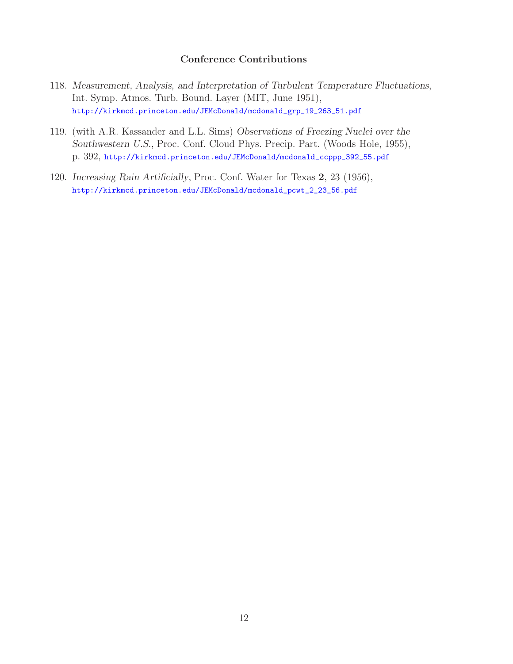#### **Conference Contributions**

- 118. *Measurement, Analysis, and Interpretation of Turbulent Temperature Fluctuations*, Int. Symp. Atmos. Turb. Bound. Layer (MIT, June 1951), http://kirkmcd.princeton.edu/JEMcDonald/mcdonald\_grp\_19\_263\_51.pdf
- 119. (with A.R. Kassander and L.L. Sims) *Observations of Freezing Nuclei over the Southwestern U.S.*, Proc. Conf. Cloud Phys. Precip. Part. (Woods Hole, 1955), p. 392, http://kirkmcd.princeton.edu/JEMcDonald/mcdonald\_ccppp\_392\_55.pdf
- 120. *Increasing Rain Artificially*, Proc. Conf. Water for Texas **2**, 23 (1956), http://kirkmcd.princeton.edu/JEMcDonald/mcdonald\_pcwt\_2\_23\_56.pdf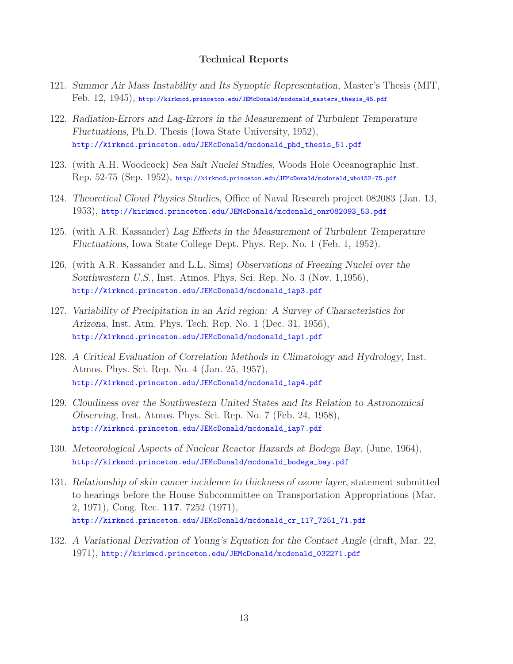#### **Technical Reports**

- 121. *Summer Air Mass Instability and Its Synoptic Representation*, Master's Thesis (MIT, Feb. 12, 1945), http://kirkmcd.princeton.edu/JEMcDonald/mcdonald\_masters\_thesis\_45.pdf
- 122. *Radiation-Errors and Lag-Errors in the Measurement of Turbulent Temperature Fluctuations*, Ph.D. Thesis (Iowa State University, 1952), http://kirkmcd.princeton.edu/JEMcDonald/mcdonald\_phd\_thesis\_51.pdf
- 123. (with A.H. Woodcock) *Sea Salt Nuclei Studies*, Woods Hole Oceanographic Inst. Rep. 52-75 (Sep. 1952), http://kirkmcd.princeton.edu/JEMcDonald/mcdonald\_whoi52-75.pdf
- 124. *Theoretical Cloud Physics Studies*, Office of Naval Research project 082083 (Jan. 13, 1953), http://kirkmcd.princeton.edu/JEMcDonald/mcdonald\_onr082093\_53.pdf
- 125. (with A.R. Kassander) *Lag Effects in the Measurement of Turbulent Temperature Fluctuations*, Iowa State College Dept. Phys. Rep. No. 1 (Feb. 1, 1952).
- 126. (with A.R. Kassander and L.L. Sims) *Observations of Freezing Nuclei over the Southwestern U.S.*, Inst. Atmos. Phys. Sci. Rep. No. 3 (Nov. 1,1956), http://kirkmcd.princeton.edu/JEMcDonald/mcdonald\_iap3.pdf
- 127. *Variability of Precipitation in an Arid region: A Survey of Characteristics for Arizona*, Inst. Atm. Phys. Tech. Rep. No. 1 (Dec. 31, 1956), http://kirkmcd.princeton.edu/JEMcDonald/mcdonald\_iap1.pdf
- 128. *A Critical Evaluation of Correlation Methods in Climatology and Hydrology*, Inst. Atmos. Phys. Sci. Rep. No. 4 (Jan. 25, 1957), http://kirkmcd.princeton.edu/JEMcDonald/mcdonald\_iap4.pdf
- 129. *Cloudiness over the Southwestern United States and Its Relation to Astronomical Observing*, Inst. Atmos. Phys. Sci. Rep. No. 7 (Feb. 24, 1958), http://kirkmcd.princeton.edu/JEMcDonald/mcdonald\_iap7.pdf
- 130. *Meteorological Aspects of Nuclear Reactor Hazards at Bodega Bay*, (June, 1964), http://kirkmcd.princeton.edu/JEMcDonald/mcdonald\_bodega\_bay.pdf
- 131. *Relationship of skin cancer incidence to thickness of ozone layer*, statement submitted to hearings before the House Subcommittee on Transportation Appropriations (Mar. 2, 1971), Cong. Rec. **117**, 7252 (1971), http://kirkmcd.princeton.edu/JEMcDonald/mcdonald\_cr\_117\_7251\_71.pdf
- 132. *A Variational Derivation of Young's Equation for the Contact Angle* (draft, Mar. 22, 1971), http://kirkmcd.princeton.edu/JEMcDonald/mcdonald\_032271.pdf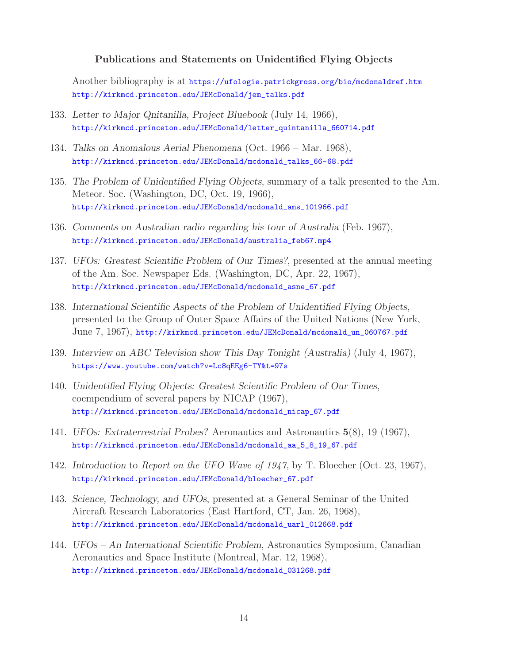#### **Publications and Statements on Unidentified Flying Objects**

Another bibliography is at https://ufologie.patrickgross.org/bio/mcdonaldref.htm http://kirkmcd.princeton.edu/JEMcDonald/jem\_talks.pdf

- 133. *Letter to Major Qnitanilla, Project Bluebook* (July 14, 1966), http://kirkmcd.princeton.edu/JEMcDonald/letter\_quintanilla\_660714.pdf
- 134. *Talks on Anomalous Aerial Phenomena* (Oct. 1966 Mar. 1968), http://kirkmcd.princeton.edu/JEMcDonald/mcdonald\_talks\_66-68.pdf
- 135. *The Problem of Unidentified Flying Objects*, summary of a talk presented to the Am. Meteor. Soc. (Washington, DC, Oct. 19, 1966), http://kirkmcd.princeton.edu/JEMcDonald/mcdonald\_ams\_101966.pdf
- 136. *Comments on Australian radio regarding his tour of Australia* (Feb. 1967), http://kirkmcd.princeton.edu/JEMcDonald/australia\_feb67.mp4
- 137. *UFOs: Greatest Scientific Problem of Our Times?*, presented at the annual meeting of the Am. Soc. Newspaper Eds. (Washington, DC, Apr. 22, 1967), http://kirkmcd.princeton.edu/JEMcDonald/mcdonald\_asne\_67.pdf
- 138. *International Scientific Aspects of the Problem of Unidentified Flying Objects*, presented to the Group of Outer Space Affairs of the United Nations (New York, June 7, 1967), http://kirkmcd.princeton.edu/JEMcDonald/mcdonald\_un\_060767.pdf
- 139. *Interview on ABC Television show This Day Tonight (Australia)* (July 4, 1967), https://www.youtube.com/watch?v=Lc8qEEg6-TY&t=97s
- 140. *Unidentified Flying Objects: Greatest Scientific Problem of Our Times*, coempendium of several papers by NICAP (1967), http://kirkmcd.princeton.edu/JEMcDonald/mcdonald\_nicap\_67.pdf
- 141. *UFOs: Extraterrestrial Probes?* Aeronautics and Astronautics **5**(8), 19 (1967), http://kirkmcd.princeton.edu/JEMcDonald/mcdonald\_aa\_5\_8\_19\_67.pdf
- 142. *Introduction* to *Report on the UFO Wave of 1947*, by T. Bloecher (Oct. 23, 1967), http://kirkmcd.princeton.edu/JEMcDonald/bloecher\_67.pdf
- 143. *Science, Technology, and UFOs*, presented at a General Seminar of the United Aircraft Research Laboratories (East Hartford, CT, Jan. 26, 1968), http://kirkmcd.princeton.edu/JEMcDonald/mcdonald\_uarl\_012668.pdf
- 144. *UFOs An International Scientific Problem*, Astronautics Symposium, Canadian Aeronautics and Space Institute (Montreal, Mar. 12, 1968), http://kirkmcd.princeton.edu/JEMcDonald/mcdonald\_031268.pdf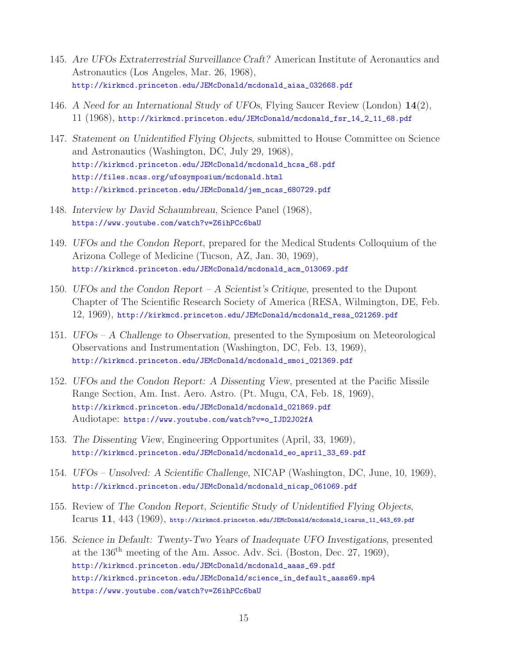- 145. *Are UFOs Extraterrestrial Surveillance Craft?* American Institute of Aeronautics and Astronautics (Los Angeles, Mar. 26, 1968), http://kirkmcd.princeton.edu/JEMcDonald/mcdonald\_aiaa\_032668.pdf
- 146. *A Need for an International Study of UFOs*, Flying Saucer Review (London) **14**(2), 11 (1968), http://kirkmcd.princeton.edu/JEMcDonald/mcdonald\_fsr\_14\_2\_11\_68.pdf
- 147. *Statement on Unidentified Flying Objects*, submitted to House Committee on Science and Astronautics (Washington, DC, July 29, 1968), http://kirkmcd.princeton.edu/JEMcDonald/mcdonald\_hcsa\_68.pdf http://files.ncas.org/ufosymposium/mcdonald.html http://kirkmcd.princeton.edu/JEMcDonald/jem\_ncas\_680729.pdf
- 148. *Interview by David Schaumbreau*, Science Panel (1968), https://www.youtube.com/watch?v=Z6ihPCc6baU
- 149. *UFOs and the Condon Report*, prepared for the Medical Students Colloquium of the Arizona College of Medicine (Tucson, AZ, Jan. 30, 1969), http://kirkmcd.princeton.edu/JEMcDonald/mcdonald\_acm\_013069.pdf
- 150. *UFOs and the Condon Report A Scientist's Critique*, presented to the Dupont Chapter of The Scientific Research Society of America (RESA, Wilmington, DE, Feb. 12, 1969), http://kirkmcd.princeton.edu/JEMcDonald/mcdonald\_resa\_021269.pdf
- 151. *UFOs A Challenge to Observation*, presented to the Symposium on Meteorological Observations and Instrumentation (Washington, DC, Feb. 13, 1969), http://kirkmcd.princeton.edu/JEMcDonald/mcdonald\_smoi\_021369.pdf
- 152. *UFOs and the Condon Report: A Dissenting View*, presented at the Pacific Missile Range Section, Am. Inst. Aero. Astro. (Pt. Mugu, CA, Feb. 18, 1969), http://kirkmcd.princeton.edu/JEMcDonald/mcdonald\_021869.pdf Audiotape: https://www.youtube.com/watch?v=o\_IJD2J02fA
- 153. *The Dissenting View*, Engineering Opportunites (April, 33, 1969), http://kirkmcd.princeton.edu/JEMcDonald/mcdonald\_eo\_april\_33\_69.pdf
- 154. *UFOs Unsolved: A Scientific Challenge*, NICAP (Washington, DC, June, 10, 1969), http://kirkmcd.princeton.edu/JEMcDonald/mcdonald\_nicap\_061069.pdf
- 155. Review of *The Condon Report, Scientific Study of Unidentified Flying Objects*, Icarus **11**, 443 (1969), http://kirkmcd.princeton.edu/JEMcDonald/mcdonald\_icarus\_11\_443\_69.pdf
- 156. *Science in Default: Twenty-Two Years of Inadequate UFO Investigations*, presented at the 136th meeting of the Am. Assoc. Adv. Sci. (Boston, Dec. 27, 1969), http://kirkmcd.princeton.edu/JEMcDonald/mcdonald\_aaas\_69.pdf http://kirkmcd.princeton.edu/JEMcDonald/science\_in\_default\_aass69.mp4 https://www.youtube.com/watch?v=Z6ihPCc6baU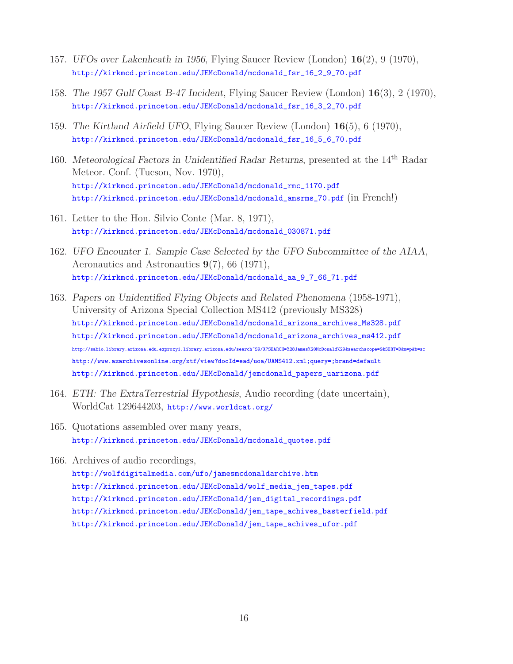- 157. *UFOs over Lakenheath in 1956*, Flying Saucer Review (London) **16**(2), 9 (1970), http://kirkmcd.princeton.edu/JEMcDonald/mcdonald\_fsr\_16\_2\_9\_70.pdf
- 158. *The 1957 Gulf Coast B-47 Incident*, Flying Saucer Review (London) **16**(3), 2 (1970), http://kirkmcd.princeton.edu/JEMcDonald/mcdonald\_fsr\_16\_3\_2\_70.pdf
- 159. *The Kirtland Airfield UFO*, Flying Saucer Review (London) **16**(5), 6 (1970), http://kirkmcd.princeton.edu/JEMcDonald/mcdonald\_fsr\_16\_5\_6\_70.pdf
- 160. *Meteorological Factors in Unidentified Radar Returns*, presented at the 14th Radar Meteor. Conf. (Tucson, Nov. 1970), http://kirkmcd.princeton.edu/JEMcDonald/mcdonald\_rmc\_1170.pdf http://kirkmcd.princeton.edu/JEMcDonald/mcdonald\_amsrms\_70.pdf (in French!)
- 161. Letter to the Hon. Silvio Conte (Mar. 8, 1971), http://kirkmcd.princeton.edu/JEMcDonald/mcdonald\_030871.pdf
- 162. *UFO Encounter 1. Sample Case Selected by the UFO Subcommittee of the AIAA*, Aeronautics and Astronautics **9**(7), 66 (1971), http://kirkmcd.princeton.edu/JEMcDonald/mcdonald\_aa\_9\_7\_66\_71.pdf
- 163. *Papers on Unidentified Flying Objects and Related Phenomena* (1958-1971), University of Arizona Special Collection MS412 (previously MS328) http://kirkmcd.princeton.edu/JEMcDonald/mcdonald\_arizona\_archives\_Ms328.pdf http://kirkmcd.princeton.edu/JEMcDonald/mcdonald\_arizona\_archives\_ms412.pdf http://sabio.library.arizona.edu.ezproxy1.library.arizona.edu/search~S9/X?SEARCH=%28James%20McDonald%29&searchscope=9&SORT=D&m=p&b=sc http://www.azarchivesonline.org/xtf/view?docId=ead/uoa/UAMS412.xml;query=;brand=default http://kirkmcd.princeton.edu/JEMcDonald/jemcdonald\_papers\_uarizona.pdf
- 164. *ETH: The ExtraTerrestrial Hypothesis*, Audio recording (date uncertain), WorldCat 129644203, http://www.worldcat.org/
- 165. Quotations assembled over many years, http://kirkmcd.princeton.edu/JEMcDonald/mcdonald\_quotes.pdf
- 166. Archives of audio recordings, http://wolfdigitalmedia.com/ufo/jamesmcdonaldarchive.htm http://kirkmcd.princeton.edu/JEMcDonald/wolf\_media\_jem\_tapes.pdf http://kirkmcd.princeton.edu/JEMcDonald/jem\_digital\_recordings.pdf http://kirkmcd.princeton.edu/JEMcDonald/jem\_tape\_achives\_basterfield.pdf http://kirkmcd.princeton.edu/JEMcDonald/jem\_tape\_achives\_ufor.pdf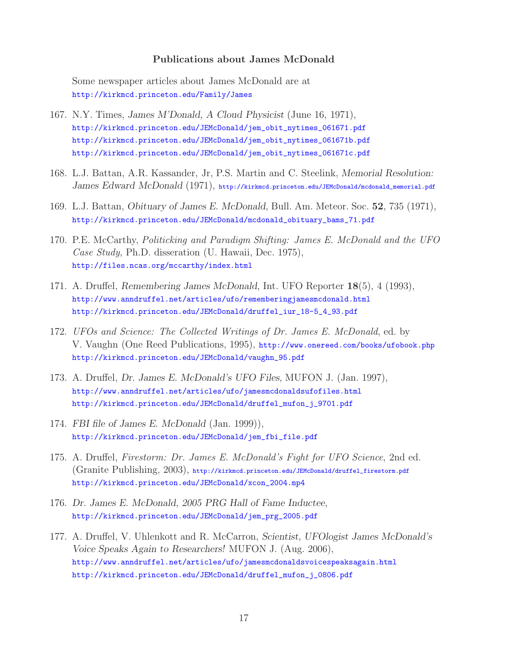#### **Publications about James McDonald**

Some newspaper articles about James McDonald are at http://kirkmcd.princeton.edu/Family/James

- 167. N.Y. Times, *James M'Donald, A Cloud Physicist* (June 16, 1971), http://kirkmcd.princeton.edu/JEMcDonald/jem\_obit\_nytimes\_061671.pdf http://kirkmcd.princeton.edu/JEMcDonald/jem\_obit\_nytimes\_061671b.pdf http://kirkmcd.princeton.edu/JEMcDonald/jem\_obit\_nytimes\_061671c.pdf
- 168. L.J. Battan, A.R. Kassander, Jr, P.S. Martin and C. Steelink, *Memorial Resolution:* James Edward McDonald (1971), http://kirkmcd.princeton.edu/JEMcDonald/mcdonald\_memorial.pdf
- 169. L.J. Battan, *Obituary of James E. McDonald*, Bull. Am. Meteor. Soc. **52**, 735 (1971), http://kirkmcd.princeton.edu/JEMcDonald/mcdonald\_obituary\_bams\_71.pdf
- 170. P.E. McCarthy, *Politicking and Paradigm Shifting: James E. McDonald and the UFO Case Study*, Ph.D. disseration (U. Hawaii, Dec. 1975), http://files.ncas.org/mccarthy/index.html
- 171. A. Druffel, *Remembering James McDonald*, Int. UFO Reporter **18**(5), 4 (1993), http://www.anndruffel.net/articles/ufo/rememberingjamesmcdonald.html http://kirkmcd.princeton.edu/JEMcDonald/druffel\_iur\_18-5\_4\_93.pdf
- 172. *UFOs and Science: The Collected Writings of Dr. James E. McDonald*, ed. by V. Vaughn (One Reed Publications, 1995), http://www.onereed.com/books/ufobook.php http://kirkmcd.princeton.edu/JEMcDonald/vaughn\_95.pdf
- 173. A. Druffel, *Dr. James E. McDonald's UFO Files*, MUFON J. (Jan. 1997), http://www.anndruffel.net/articles/ufo/jamesmcdonaldsufofiles.html http://kirkmcd.princeton.edu/JEMcDonald/druffel\_mufon\_j\_9701.pdf
- 174. *FBI file of James E. McDonald* (Jan. 1999)), http://kirkmcd.princeton.edu/JEMcDonald/jem\_fbi\_file.pdf
- 175. A. Druffel, *Firestorm: Dr. James E. McDonald's Fight for UFO Science*, 2nd ed. (Granite Publishing, 2003), http://kirkmcd.princeton.edu/JEMcDonald/druffel\_firestorm.pdf http://kirkmcd.princeton.edu/JEMcDonald/xcon\_2004.mp4
- 176. *Dr. James E. McDonald, 2005 PRG Hall of Fame Inductee*, http://kirkmcd.princeton.edu/JEMcDonald/jem\_prg\_2005.pdf
- 177. A. Druffel, V. Uhlenkott and R. McCarron, *Scientist, UFOlogist James McDonald's Voice Speaks Again to Researchers!* MUFON J. (Aug. 2006), http://www.anndruffel.net/articles/ufo/jamesmcdonaldsvoicespeaksagain.html http://kirkmcd.princeton.edu/JEMcDonald/druffel\_mufon\_j\_0806.pdf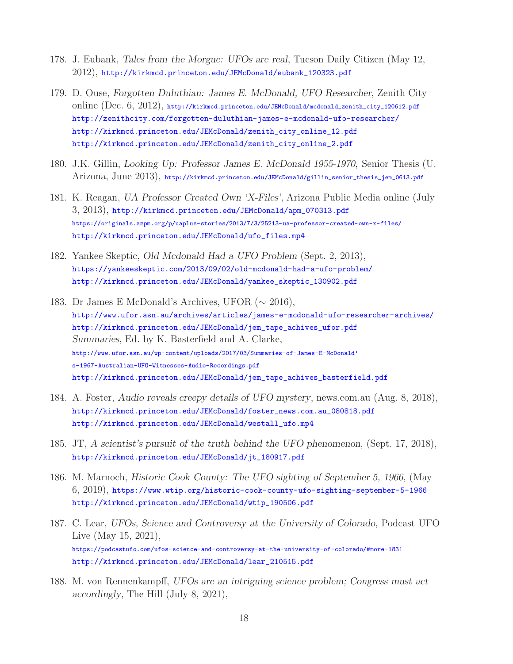- 178. J. Eubank, *Tales from the Morgue: UFOs are real*, Tucson Daily Citizen (May 12, 2012), http://kirkmcd.princeton.edu/JEMcDonald/eubank\_120323.pdf
- 179. D. Ouse, *Forgotten Duluthian: James E. McDonald, UFO Researcher*, Zenith City online (Dec. 6, 2012), http://kirkmcd.princeton.edu/JEMcDonald/mcdonald\_zenith\_city\_120612.pdf http://zenithcity.com/forgotten-duluthian-james-e-mcdonald-ufo-researcher/ http://kirkmcd.princeton.edu/JEMcDonald/zenith\_city\_online\_12.pdf http://kirkmcd.princeton.edu/JEMcDonald/zenith\_city\_online\_2.pdf
- 180. J.K. Gillin, *Looking Up: Professor James E. McDonald 1955-1970*, Senior Thesis (U. Arizona, June 2013), http://kirkmcd.princeton.edu/JEMcDonald/gillin\_senior\_thesis\_jem\_0613.pdf
- 181. K. Reagan, *UA Professor Created Own 'X-Files'*, Arizona Public Media online (July 3, 2013), http://kirkmcd.princeton.edu/JEMcDonald/apm\_070313.pdf https://originals.azpm.org/p/uaplus-stories/2013/7/3/25213-ua-professor-created-own-x-files/ http://kirkmcd.princeton.edu/JEMcDonald/ufo\_files.mp4
- 182. Yankee Skeptic, *Old Mcdonald Had a UFO Problem* (Sept. 2, 2013), https://yankeeskeptic.com/2013/09/02/old-mcdonald-had-a-ufo-problem/ http://kirkmcd.princeton.edu/JEMcDonald/yankee\_skeptic\_130902.pdf
- 183. Dr James E McDonald's Archives, UFOR (∼ 2016), http://www.ufor.asn.au/archives/articles/james-e-mcdonald-ufo-researcher-archives/ http://kirkmcd.princeton.edu/JEMcDonald/jem\_tape\_achives\_ufor.pdf *Summaries*, Ed. by K. Basterfield and A. Clarke, http://www.ufor.asn.au/wp-content/uploads/2017/03/Summaries-of-James-E-McDonald' s-1967-Australian-UFO-Witnesses-Audio-Recordings.pdf http://kirkmcd.princeton.edu/JEMcDonald/jem\_tape\_achives\_basterfield.pdf
- 184. A. Foster, *Audio reveals creepy details of UFO mystery*, news.com.au (Aug. 8, 2018), http://kirkmcd.princeton.edu/JEMcDonald/foster\_news.com.au\_080818.pdf http://kirkmcd.princeton.edu/JEMcDonald/westall\_ufo.mp4
- 185. JT, *A scientist's pursuit of the truth behind the UFO phenomenon*, (Sept. 17, 2018), http://kirkmcd.princeton.edu/JEMcDonald/jt\_180917.pdf
- 186. M. Marnoch, *Historic Cook County: The UFO sighting of September 5, 1966*, (May 6, 2019), https://www.wtip.org/historic-cook-county-ufo-sighting-september-5-1966 http://kirkmcd.princeton.edu/JEMcDonald/wtip\_190506.pdf
- 187. C. Lear, *UFOs, Science and Controversy at the University of Colorado*, Podcast UFO Live (May 15, 2021), https://podcastufo.com/ufos-science-and-controversy-at-the-university-of-colorado/#more-1831 http://kirkmcd.princeton.edu/JEMcDonald/lear\_210515.pdf
- 188. M. von Rennenkampff, *UFOs are an intriguing science problem; Congress must act accordingly*, The Hill (July 8, 2021),